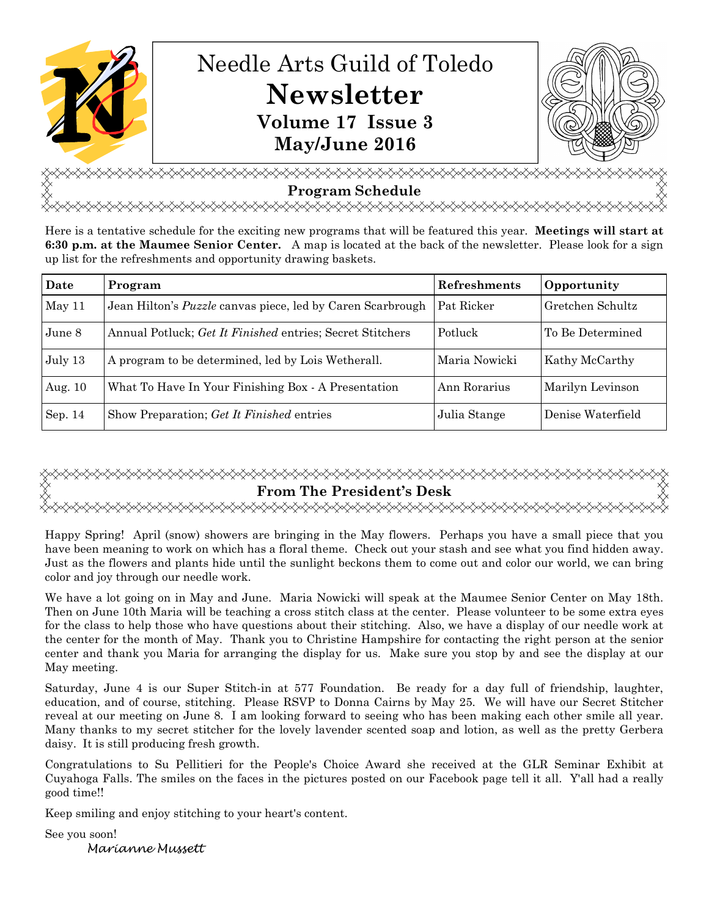

<del></del> **Program Schedule**  <del></del>

Here is a tentative schedule for the exciting new programs that will be featured this year. **Meetings will start at 6:30 p.m. at the Maumee Senior Center.** A map is located at the back of the newsletter. Please look for a sign up list for the refreshments and opportunity drawing baskets.

| Date    | Program                                                           | <b>Refreshments</b> | Opportunity       |
|---------|-------------------------------------------------------------------|---------------------|-------------------|
| May 11  | Jean Hilton's <i>Puzzle</i> canvas piece, led by Caren Scarbrough | Pat Ricker          | Gretchen Schultz  |
| June 8  | Annual Potluck; Get It Finished entries; Secret Stitchers         | Potluck             | To Be Determined  |
| July 13 | A program to be determined, led by Lois Wetherall.                | Maria Nowicki       | Kathy McCarthy    |
| Aug. 10 | What To Have In Your Finishing Box - A Presentation               | Ann Rorarius        | Marilyn Levinson  |
| Sep. 14 | Show Preparation; Get It Finished entries                         | Julia Stange        | Denise Waterfield |

# **From The President's Desk**

Happy Spring! April (snow) showers are bringing in the May flowers. Perhaps you have a small piece that you have been meaning to work on which has a floral theme. Check out your stash and see what you find hidden away. Just as the flowers and plants hide until the sunlight beckons them to come out and color our world, we can bring color and joy through our needle work.

We have a lot going on in May and June. Maria Nowicki will speak at the Maumee Senior Center on May 18th. Then on June 10th Maria will be teaching a cross stitch class at the center. Please volunteer to be some extra eyes for the class to help those who have questions about their stitching. Also, we have a display of our needle work at the center for the month of May. Thank you to Christine Hampshire for contacting the right person at the senior center and thank you Maria for arranging the display for us. Make sure you stop by and see the display at our May meeting.

Saturday, June 4 is our Super Stitch-in at 577 Foundation. Be ready for a day full of friendship, laughter, education, and of course, stitching. Please RSVP to Donna Cairns by May 25. We will have our Secret Stitcher reveal at our meeting on June 8. I am looking forward to seeing who has been making each other smile all year. Many thanks to my secret stitcher for the lovely lavender scented soap and lotion, as well as the pretty Gerbera daisy. It is still producing fresh growth.

Congratulations to Su Pellitieri for the People's Choice Award she received at the GLR Seminar Exhibit at Cuyahoga Falls. The smiles on the faces in the pictures posted on our Facebook page tell it all. Y'all had a really good time!!

Keep smiling and enjoy stitching to your heart's content.

See you soon!

Marianne Mussett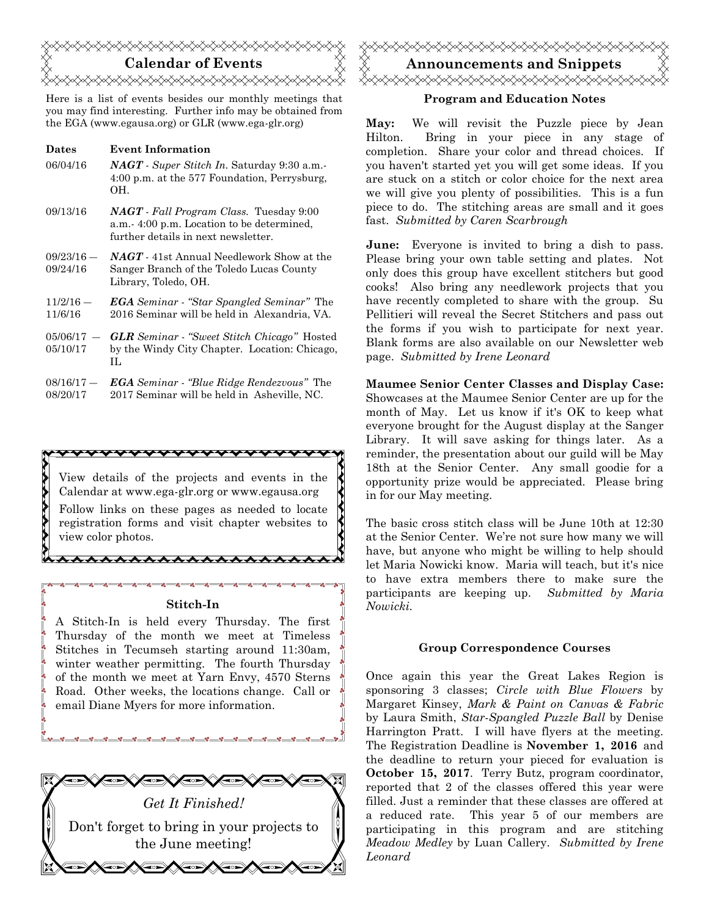

Here is a list of events besides our monthly meetings that you may find interesting. Further info may be obtained from the EGA (www.egausa.org) or GLR (www.ega-glr.org)

**Dates Event Information** 

| 06/04/16               | $NAGT$ - Super Stitch In. Saturday 9:30 a.m.<br>4:00 p.m. at the 577 Foundation, Perrysburg,<br>OH.                                |
|------------------------|------------------------------------------------------------------------------------------------------------------------------------|
| 09/13/16               | <b>NAGT</b> - Fall Program Class. Tuesday 9:00<br>a.m. 4:00 p.m. Location to be determined,<br>further details in next newsletter. |
| 09/23/16 —<br>09/24/16 | <b>NAGT</b> - 41st Annual Needlework Show at the<br>Sanger Branch of the Toledo Lucas County<br>Library, Toledo, OH.               |
| $11/2/16$ —<br>11/6/16 | <b>EGA</b> Seminar - "Star Spangled Seminar" The<br>2016 Seminar will be held in Alexandria, VA.                                   |

- $05/06/17 -$ 05/10/17 *GLR Seminar* - *"Sweet Stitch Chicago"* Hosted by the Windy City Chapter. Location: Chicago, IL
- $08/16/17 -$ 08/20/17 *EGA Seminar - "Blue Ridge Rendezvous"* The 2017 Seminar will be held in Asheville, NC.

View details of the projects and events in the Calendar at www.ega-glr.org or www.egausa.org Follow links on these pages as needed to locate registration forms and visit chapter websites to view color photos.

#### **Stitch-In**

\*\*\*\*\*\*\*\*\*\*\*\*\*\*\*\*\*\*

A Stitch-In is held every Thursday. The first Thursday of the month we meet at Timeless Stitches in Tecumseh starting around 11:30am, winter weather permitting. The fourth Thursday of the month we meet at Yarn Envy, 4570 Sterns Road. Other weeks, the locations change. Call or email Diane Myers for more information.





#### **Program and Education Notes**

**May:** We will revisit the Puzzle piece by Jean Hilton. Bring in your piece in any stage of completion. Share your color and thread choices. If you haven't started yet you will get some ideas. If you are stuck on a stitch or color choice for the next area we will give you plenty of possibilities. This is a fun piece to do. The stitching areas are small and it goes fast. *Submitted by Caren Scarbrough*

**June:** Everyone is invited to bring a dish to pass. Please bring your own table setting and plates. Not only does this group have excellent stitchers but good cooks! Also bring any needlework projects that you have recently completed to share with the group. Su Pellitieri will reveal the Secret Stitchers and pass out the forms if you wish to participate for next year. Blank forms are also available on our Newsletter web page. *Submitted by Irene Leonard*

**Maumee Senior Center Classes and Display Case:** Showcases at the Maumee Senior Center are up for the month of May. Let us know if it's OK to keep what everyone brought for the August display at the Sanger Library. It will save asking for things later. As a reminder, the presentation about our guild will be May 18th at the Senior Center. Any small goodie for a opportunity prize would be appreciated. Please bring in for our May meeting.

The basic cross stitch class will be June 10th at 12:30 at the Senior Center. We're not sure how many we will have, but anyone who might be willing to help should let Maria Nowicki know. Maria will teach, but it's nice to have extra members there to make sure the participants are keeping up. *Submitted by Maria Nowicki.* 

#### **Group Correspondence Courses**

Once again this year the Great Lakes Region is sponsoring 3 classes; *Circle with Blue Flowers* by Margaret Kinsey, *Mark & Paint on Canvas & Fabric*  by Laura Smith, *Star-Spangled Puzzle Ball* by Denise Harrington Pratt. I will have flyers at the meeting. The Registration Deadline is **November 1, 2016** and the deadline to return your pieced for evaluation is **October 15, 2017**. Terry Butz, program coordinator, reported that 2 of the classes offered this year were filled. Just a reminder that these classes are offered at a reduced rate. This year 5 of our members are participating in this program and are stitching *Meadow Medley* by Luan Callery. *Submitted by Irene Leonard*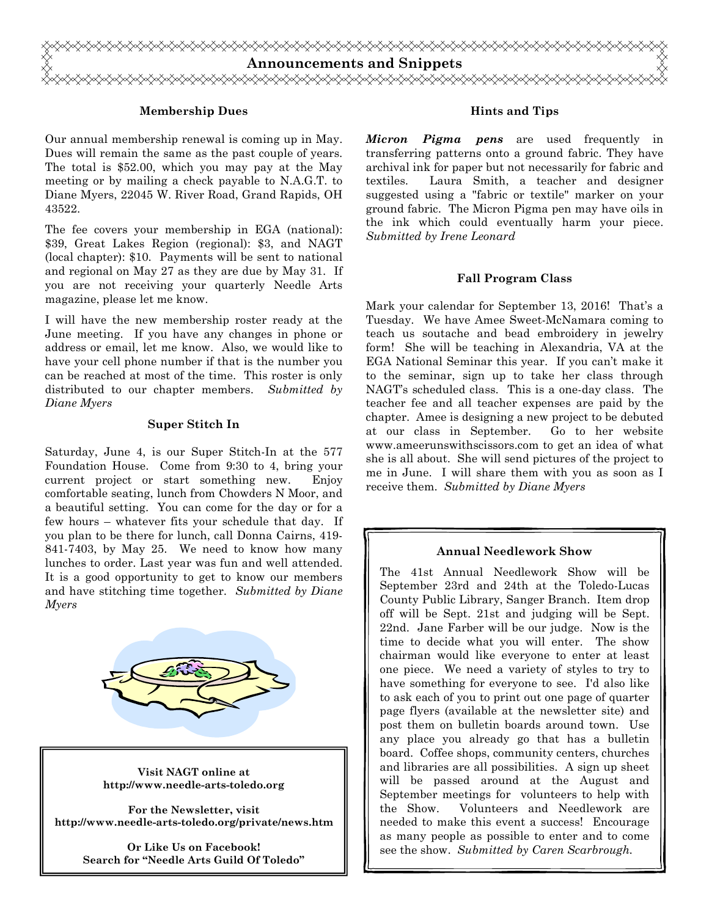

### **Membership Dues**

Our annual membership renewal is coming up in May. Dues will remain the same as the past couple of years. The total is \$52.00, which you may pay at the May meeting or by mailing a check payable to N.A.G.T. to Diane Myers, 22045 W. River Road, Grand Rapids, OH 43522.

The fee covers your membership in EGA (national): \$39, Great Lakes Region (regional): \$3, and NAGT (local chapter): \$10. Payments will be sent to national and regional on May 27 as they are due by May 31. If you are not receiving your quarterly Needle Arts magazine, please let me know.

I will have the new membership roster ready at the June meeting. If you have any changes in phone or address or email, let me know. Also, we would like to have your cell phone number if that is the number you can be reached at most of the time. This roster is only distributed to our chapter members. *Submitted by Diane Myers* 

#### **Super Stitch In**

Saturday, June 4, is our Super Stitch-In at the 577 Foundation House. Come from 9:30 to 4, bring your current project or start something new. Enjoy comfortable seating, lunch from Chowders N Moor, and a beautiful setting. You can come for the day or for a few hours – whatever fits your schedule that day. If you plan to be there for lunch, call Donna Cairns, 419- 841-7403, by May 25. We need to know how many lunches to order. Last year was fun and well attended. It is a good opportunity to get to know our members and have stitching time together. *Submitted by Diane Myers*



**Visit NAGT online at http://www.needle-arts-toledo.org** 

**For the Newsletter, visit http://www.needle-arts-toledo.org/private/news.htm** 

> **Or Like Us on Facebook! Search for "Needle Arts Guild Of Toledo"**

#### **Hints and Tips**

*Micron Pigma pens* are used frequently in transferring patterns onto a ground fabric. They have archival ink for paper but not necessarily for fabric and textiles. Laura Smith, a teacher and designer suggested using a "fabric or textile" marker on your ground fabric. The Micron Pigma pen may have oils in the ink which could eventually harm your piece. *Submitted by Irene Leonard* 

#### **Fall Program Class**

Mark your calendar for September 13, 2016! That's a Tuesday. We have Amee Sweet-McNamara coming to teach us soutache and bead embroidery in jewelry form! She will be teaching in Alexandria, VA at the EGA National Seminar this year. If you can't make it to the seminar, sign up to take her class through NAGT's scheduled class. This is a one-day class. The teacher fee and all teacher expenses are paid by the chapter. Amee is designing a new project to be debuted at our class in September. Go to her website www.ameerunswithscissors.com to get an idea of what she is all about. She will send pictures of the project to me in June. I will share them with you as soon as I receive them. *Submitted by Diane Myers* 

#### **Annual Needlework Show**

The 41st Annual Needlework Show will be September 23rd and 24th at the Toledo-Lucas County Public Library, Sanger Branch. Item drop off will be Sept. 21st and judging will be Sept. 22nd. Jane Farber will be our judge. Now is the time to decide what you will enter. The show chairman would like everyone to enter at least one piece. We need a variety of styles to try to have something for everyone to see. I'd also like to ask each of you to print out one page of quarter page flyers (available at the newsletter site) and post them on bulletin boards around town. Use any place you already go that has a bulletin board. Coffee shops, community centers, churches and libraries are all possibilities. A sign up sheet will be passed around at the August and September meetings for volunteers to help with the Show. Volunteers and Needlework are needed to make this event a success! Encourage as many people as possible to enter and to come see the show. *Submitted by Caren Scarbrough.*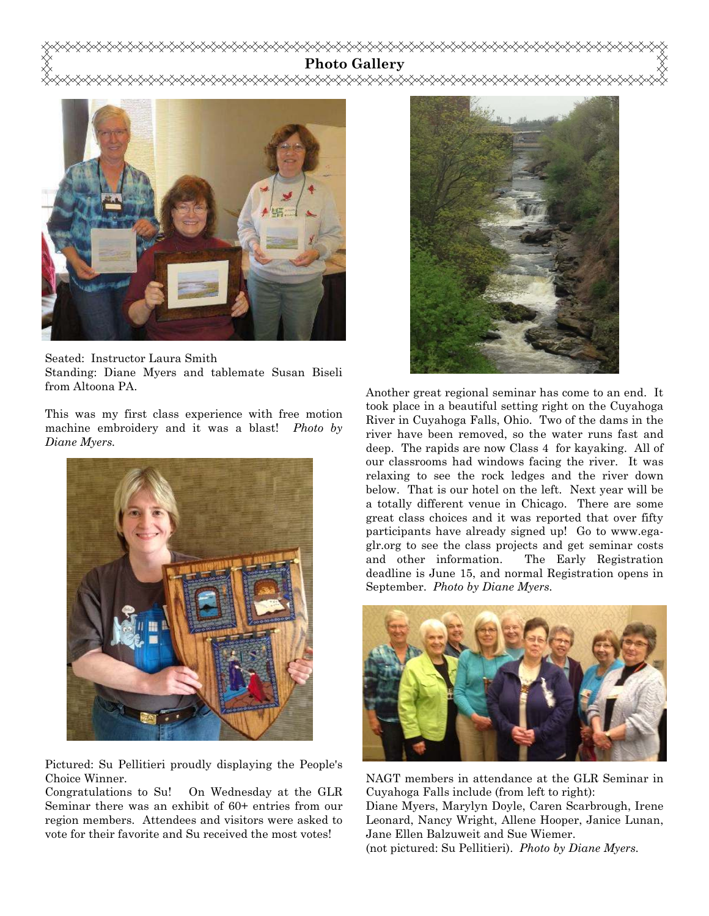**Photo Gallery** 



Seated: Instructor Laura Smith Standing: Diane Myers and tablemate Susan Biseli from Altoona PA.

This was my first class experience with free motion machine embroidery and it was a blast! *Photo by Diane Myers.* 



Pictured: Su Pellitieri proudly displaying the People's Choice Winner.

Congratulations to Su! On Wednesday at the GLR Seminar there was an exhibit of 60+ entries from our region members. Attendees and visitors were asked to vote for their favorite and Su received the most votes!



Another great regional seminar has come to an end. It took place in a beautiful setting right on the Cuyahoga River in Cuyahoga Falls, Ohio. Two of the dams in the river have been removed, so the water runs fast and deep. The rapids are now Class 4 for kayaking. All of our classrooms had windows facing the river. It was relaxing to see the rock ledges and the river down below. That is our hotel on the left. Next year will be a totally different venue in Chicago. There are some great class choices and it was reported that over fifty participants have already signed up! Go to www.egaglr.org to see the class projects and get seminar costs and other information. The Early Registration deadline is June 15, and normal Registration opens in September. *Photo by Diane Myers.* 



NAGT members in attendance at the GLR Seminar in Cuyahoga Falls include (from left to right):

Diane Myers, Marylyn Doyle, Caren Scarbrough, Irene Leonard, Nancy Wright, Allene Hooper, Janice Lunan, Jane Ellen Balzuweit and Sue Wiemer.

(not pictured: Su Pellitieri). *Photo by Diane Myers.*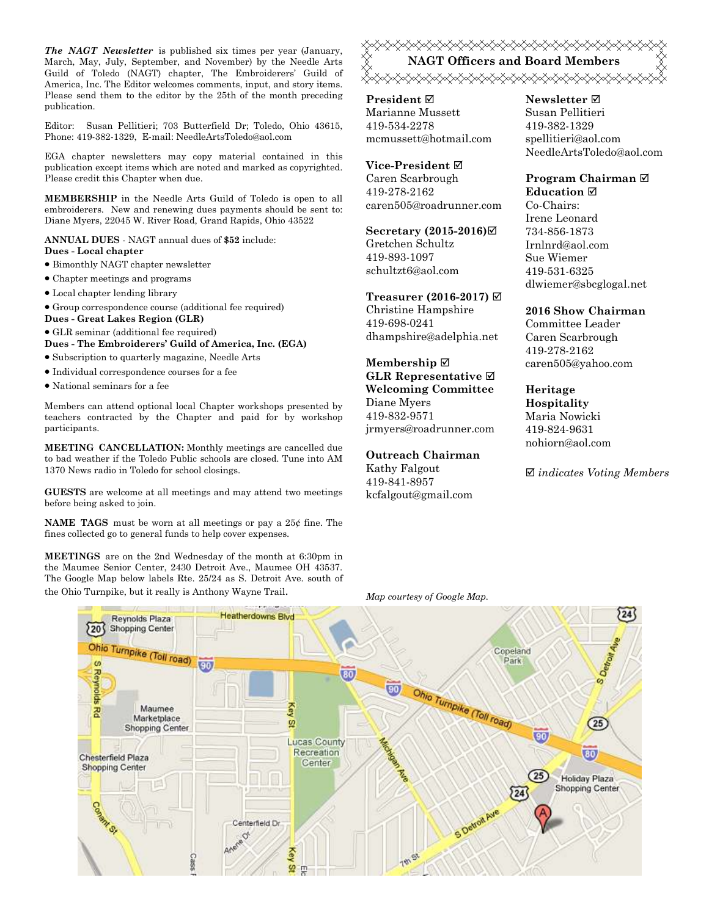*The NAGT Newsletter* is published six times per year (January, March, May, July, September, and November) by the Needle Arts Guild of Toledo (NAGT) chapter, The Embroiderers' Guild of America, Inc. The Editor welcomes comments, input, and story items. Please send them to the editor by the 25th of the month preceding publication.

Editor: Susan Pellitieri; 703 Butterfield Dr; Toledo, Ohio 43615, Phone: 419-382-1329, E-mail: NeedleArtsToledo@aol.com

EGA chapter newsletters may copy material contained in this publication except items which are noted and marked as copyrighted. Please credit this Chapter when due.

**MEMBERSHIP** in the Needle Arts Guild of Toledo is open to all embroiderers. New and renewing dues payments should be sent to: Diane Myers, 22045 W. River Road, Grand Rapids, Ohio 43522

**ANNUAL DUES** - NAGT annual dues of **\$52** include: **Dues - Local chapter** 

- Bimonthly NAGT chapter newsletter
- Chapter meetings and programs
- Local chapter lending library
- Group correspondence course (additional fee required)
- **Dues Great Lakes Region (GLR)**
- GLR seminar (additional fee required)

**Dues - The Embroiderers' Guild of America, Inc. (EGA)** 

- Subscription to quarterly magazine, Needle Arts
- Individual correspondence courses for a fee
- National seminars for a fee

Members can attend optional local Chapter workshops presented by teachers contracted by the Chapter and paid for by workshop participants.

**MEETING CANCELLATION:** Monthly meetings are cancelled due to bad weather if the Toledo Public schools are closed. Tune into AM 1370 News radio in Toledo for school closings.

**GUESTS** are welcome at all meetings and may attend two meetings before being asked to join.

**NAME TAGS** must be worn at all meetings or pay a 25¢ fine. The fines collected go to general funds to help cover expenses.

**MEETINGS** are on the 2nd Wednesday of the month at 6:30pm in the Maumee Senior Center, 2430 Detroit Ave., Maumee OH 43537. The Google Map below labels Rte. 25/24 as S. Detroit Ave. south of the Ohio Turnpike, but it really is Anthony Wayne Trail. *Map courtesy of Google Map.* 

<del></del> **NAGT Officers and Board Members**  <del></del>

**President** Marianne Mussett 419-534-2278 mcmussett@hotmail.com

# **Vice-President**

Caren Scarbrough 419-278-2162 caren505@roadrunner.com

#### **Secretary (2015-2016)**

Gretchen Schultz 419-893-1097

schultzt6@aol.com

# **Treasurer (2016-2017)**  Christine Hampshire

419-698-0241 dhampshire@adelphia.net

#### **Membership GLR Representative Welcoming Committee**  Diane Myers

419-832-9571 jrmyers@roadrunner.com

#### **Outreach Chairman**

Kathy Falgout 419-841-8957 kcfalgout@gmail.com

#### **Newsletter**  Susan Pellitieri 419-382-1329 spellitieri@aol.com NeedleArtsToledo@aol.com

#### **Program Chairman Education**

Co-Chairs: Irene Leonard 734-856-1873 Irnlnrd@aol.com Sue Wiemer 419-531-6325 dlwiemer@sbcglogal.net

#### **2016 Show Chairman**

Committee Leader Caren Scarbrough 419-278-2162 caren505@yahoo.com

#### **Heritage Hospitality**  Maria Nowicki

419-824-9631 nohiorn@aol.com

*indicates Voting Members*